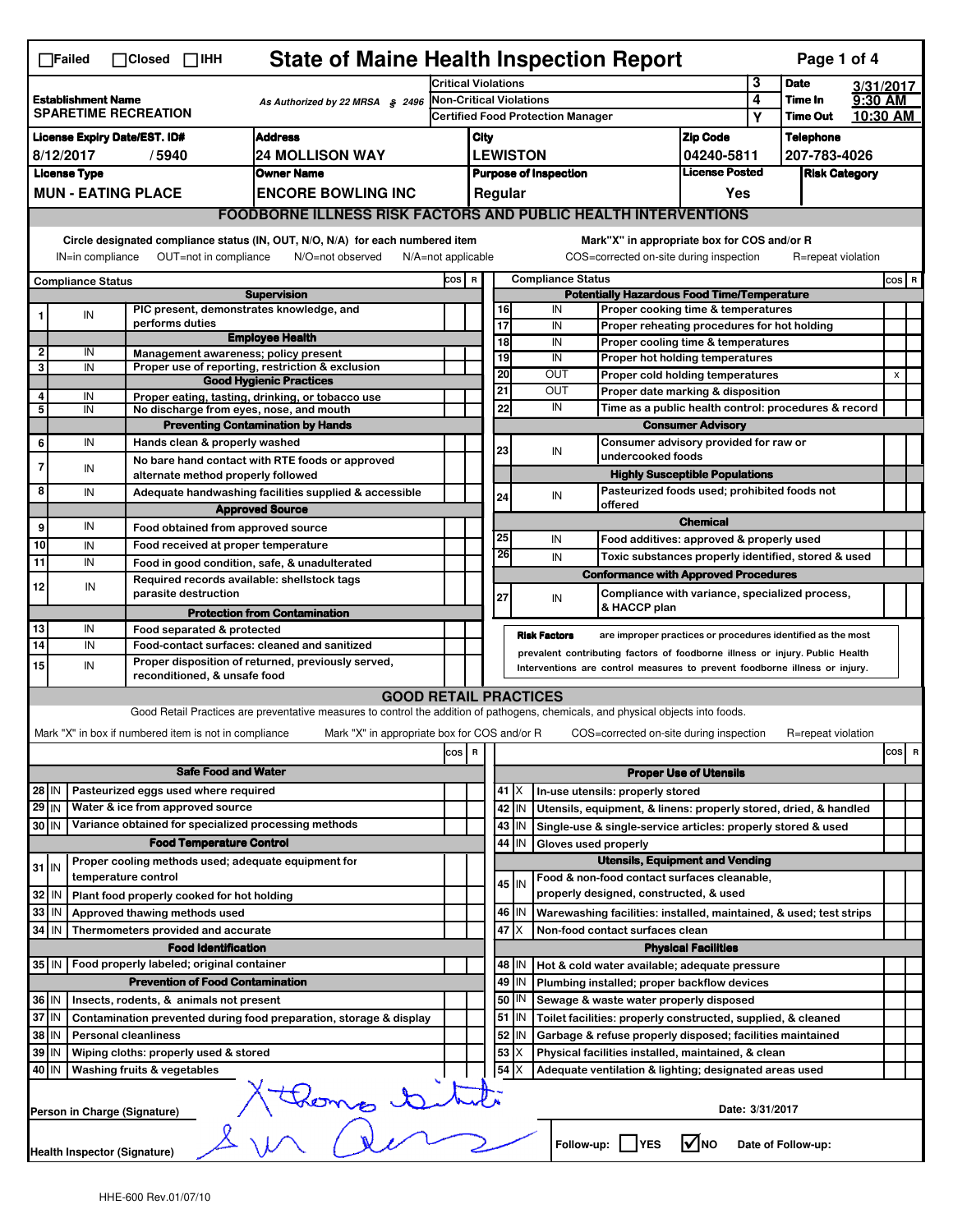|                                                               | <b>State of Maine Health Inspection Report</b><br>Page 1 of 4<br>$\Box$ Failed<br>$\Box$ Closed $\Box$ IHH                                                                                                                                                                                |                                                                             |                                                                                                                                   |                            |                                          |  |          |                                |                          |                                                                                       |                               |                 |                      |          |                                 |
|---------------------------------------------------------------|-------------------------------------------------------------------------------------------------------------------------------------------------------------------------------------------------------------------------------------------------------------------------------------------|-----------------------------------------------------------------------------|-----------------------------------------------------------------------------------------------------------------------------------|----------------------------|------------------------------------------|--|----------|--------------------------------|--------------------------|---------------------------------------------------------------------------------------|-------------------------------|-----------------|----------------------|----------|---------------------------------|
|                                                               |                                                                                                                                                                                                                                                                                           |                                                                             |                                                                                                                                   | <b>Critical Violations</b> |                                          |  |          |                                |                          |                                                                                       |                               | 3               | <b>Date</b>          |          | 3/31/2017                       |
|                                                               | <b>Establishment Name</b>                                                                                                                                                                                                                                                                 | <b>SPARETIME RECREATION</b>                                                 | As Authorized by 22 MRSA § 2496                                                                                                   |                            |                                          |  |          | <b>Non-Critical Violations</b> |                          |                                                                                       |                               | 4               | Time In              | 9:30 AM  |                                 |
|                                                               |                                                                                                                                                                                                                                                                                           |                                                                             |                                                                                                                                   |                            | <b>Certified Food Protection Manager</b> |  |          |                                |                          |                                                                                       | Υ                             | <b>Time Out</b> |                      | 10:30 AM |                                 |
|                                                               |                                                                                                                                                                                                                                                                                           | <b>License Expiry Date/EST. ID#</b>                                         | <b>Address</b>                                                                                                                    |                            | City                                     |  |          |                                |                          |                                                                                       | <b>Zip Code</b>               |                 | <b>Telephone</b>     |          |                                 |
|                                                               | 8/12/2017                                                                                                                                                                                                                                                                                 | /5940                                                                       | <b>24 MOLLISON WAY</b>                                                                                                            |                            |                                          |  |          | <b>LEWISTON</b>                |                          |                                                                                       | 04240-5811                    |                 | 207-783-4026         |          |                                 |
|                                                               | <b>License Type</b>                                                                                                                                                                                                                                                                       |                                                                             | <b>Owner Name</b>                                                                                                                 |                            |                                          |  |          | <b>Purpose of Inspection</b>   |                          |                                                                                       | <b>License Posted</b>         |                 | <b>Risk Category</b> |          |                                 |
|                                                               |                                                                                                                                                                                                                                                                                           | <b>MUN - EATING PLACE</b>                                                   | <b>ENCORE BOWLING INC</b>                                                                                                         |                            |                                          |  | Regular  |                                |                          |                                                                                       | Yes                           |                 |                      |          |                                 |
|                                                               |                                                                                                                                                                                                                                                                                           |                                                                             | <b>FOODBORNE ILLNESS RISK FACTORS AND PUBLIC HEALTH INTERVENTIONS</b>                                                             |                            |                                          |  |          |                                |                          |                                                                                       |                               |                 |                      |          |                                 |
|                                                               | Circle designated compliance status (IN, OUT, N/O, N/A) for each numbered item<br>Mark"X" in appropriate box for COS and/or R<br>OUT=not in compliance<br>COS=corrected on-site during inspection<br>IN=in compliance<br>N/O=not observed<br>$N/A = not$ applicable<br>R=repeat violation |                                                                             |                                                                                                                                   |                            |                                          |  |          |                                |                          |                                                                                       |                               |                 |                      |          |                                 |
|                                                               |                                                                                                                                                                                                                                                                                           |                                                                             |                                                                                                                                   | COS R                      |                                          |  |          |                                | <b>Compliance Status</b> |                                                                                       |                               |                 |                      |          | $cos$ R                         |
|                                                               | <b>Compliance Status</b>                                                                                                                                                                                                                                                                  |                                                                             | <b>Supervision</b>                                                                                                                |                            |                                          |  |          |                                |                          | <b>Potentially Hazardous Food Time/Temperature</b>                                    |                               |                 |                      |          |                                 |
|                                                               | IN                                                                                                                                                                                                                                                                                        | PIC present, demonstrates knowledge, and                                    |                                                                                                                                   |                            |                                          |  | 16       | IN                             |                          | Proper cooking time & temperatures                                                    |                               |                 |                      |          |                                 |
|                                                               |                                                                                                                                                                                                                                                                                           | performs duties                                                             | <b>Employee Health</b>                                                                                                            |                            |                                          |  | 17       | IN                             |                          | Proper reheating procedures for hot holding                                           |                               |                 |                      |          |                                 |
| 2                                                             | IN                                                                                                                                                                                                                                                                                        | Management awareness; policy present                                        |                                                                                                                                   |                            |                                          |  | 18<br>19 | IN<br>IN                       |                          | Proper cooling time & temperatures<br>Proper hot holding temperatures                 |                               |                 |                      |          |                                 |
| 3                                                             | IN                                                                                                                                                                                                                                                                                        |                                                                             | Proper use of reporting, restriction & exclusion                                                                                  |                            |                                          |  | 20       | OUT                            |                          | Proper cold holding temperatures                                                      |                               |                 |                      |          | X                               |
|                                                               |                                                                                                                                                                                                                                                                                           |                                                                             | <b>Good Hygienic Practices</b>                                                                                                    |                            |                                          |  | 21       | OUT                            |                          | Proper date marking & disposition                                                     |                               |                 |                      |          |                                 |
| 4<br>5                                                        | IN<br>IN                                                                                                                                                                                                                                                                                  | No discharge from eyes, nose, and mouth                                     | Proper eating, tasting, drinking, or tobacco use                                                                                  |                            |                                          |  | 22       | IN                             |                          | Time as a public health control: procedures & record                                  |                               |                 |                      |          |                                 |
|                                                               |                                                                                                                                                                                                                                                                                           |                                                                             | <b>Preventing Contamination by Hands</b>                                                                                          |                            |                                          |  |          |                                |                          |                                                                                       | <b>Consumer Advisory</b>      |                 |                      |          |                                 |
| 6                                                             | IN                                                                                                                                                                                                                                                                                        | Hands clean & properly washed                                               |                                                                                                                                   |                            |                                          |  | 23       | IN                             |                          | Consumer advisory provided for raw or                                                 |                               |                 |                      |          |                                 |
| 7                                                             | IN                                                                                                                                                                                                                                                                                        |                                                                             | No bare hand contact with RTE foods or approved                                                                                   |                            |                                          |  |          |                                |                          | undercooked foods                                                                     |                               |                 |                      |          |                                 |
|                                                               |                                                                                                                                                                                                                                                                                           | alternate method properly followed                                          |                                                                                                                                   |                            |                                          |  |          |                                |                          | <b>Highly Susceptible Populations</b>                                                 |                               |                 |                      |          |                                 |
| 8                                                             | IN                                                                                                                                                                                                                                                                                        |                                                                             | Adequate handwashing facilities supplied & accessible                                                                             |                            |                                          |  | 24       | IN                             |                          | Pasteurized foods used; prohibited foods not<br>offered                               |                               |                 |                      |          |                                 |
| 9                                                             | IN                                                                                                                                                                                                                                                                                        |                                                                             | <b>Approved Source</b>                                                                                                            |                            |                                          |  |          |                                |                          |                                                                                       | <b>Chemical</b>               |                 |                      |          |                                 |
| 10                                                            | IN                                                                                                                                                                                                                                                                                        | Food obtained from approved source<br>Food received at proper temperature   |                                                                                                                                   |                            |                                          |  | 25       | IN                             |                          | Food additives: approved & properly used                                              |                               |                 |                      |          |                                 |
| 11                                                            | IN                                                                                                                                                                                                                                                                                        |                                                                             | Food in good condition, safe, & unadulterated                                                                                     |                            |                                          |  | 26       | IN                             |                          | Toxic substances properly identified, stored & used                                   |                               |                 |                      |          |                                 |
|                                                               |                                                                                                                                                                                                                                                                                           | Required records available: shellstock tags                                 |                                                                                                                                   |                            |                                          |  |          |                                |                          | <b>Conformance with Approved Procedures</b>                                           |                               |                 |                      |          |                                 |
| 12                                                            | IN                                                                                                                                                                                                                                                                                        | parasite destruction                                                        |                                                                                                                                   |                            |                                          |  | 27       | IN                             |                          | Compliance with variance, specialized process,                                        |                               |                 |                      |          |                                 |
|                                                               |                                                                                                                                                                                                                                                                                           |                                                                             | <b>Protection from Contamination</b>                                                                                              |                            |                                          |  |          |                                |                          | & HACCP plan                                                                          |                               |                 |                      |          |                                 |
| 13                                                            | IN                                                                                                                                                                                                                                                                                        | Food separated & protected                                                  |                                                                                                                                   |                            |                                          |  |          | <b>Risk Factors</b>            |                          | are improper practices or procedures identified as the most                           |                               |                 |                      |          |                                 |
| $\overline{14}$                                               | IN                                                                                                                                                                                                                                                                                        |                                                                             | Food-contact surfaces: cleaned and sanitized<br>Proper disposition of returned, previously served,                                |                            |                                          |  |          |                                |                          | prevalent contributing factors of foodborne illness or injury. Public Health          |                               |                 |                      |          |                                 |
| 15                                                            | IN                                                                                                                                                                                                                                                                                        | reconditioned, & unsafe food                                                |                                                                                                                                   |                            |                                          |  |          |                                |                          | Interventions are control measures to prevent foodborne illness or injury.            |                               |                 |                      |          |                                 |
|                                                               |                                                                                                                                                                                                                                                                                           |                                                                             | <b>GOOD RETAIL PRACTICES</b>                                                                                                      |                            |                                          |  |          |                                |                          |                                                                                       |                               |                 |                      |          |                                 |
|                                                               |                                                                                                                                                                                                                                                                                           |                                                                             | Good Retail Practices are preventative measures to control the addition of pathogens, chemicals, and physical objects into foods. |                            |                                          |  |          |                                |                          |                                                                                       |                               |                 |                      |          |                                 |
|                                                               |                                                                                                                                                                                                                                                                                           | Mark "X" in box if numbered item is not in compliance                       | Mark "X" in appropriate box for COS and/or R                                                                                      |                            |                                          |  |          |                                |                          | COS=corrected on-site during inspection                                               |                               |                 | R=repeat violation   |          |                                 |
|                                                               |                                                                                                                                                                                                                                                                                           |                                                                             |                                                                                                                                   | cos                        | R                                        |  |          |                                |                          |                                                                                       |                               |                 |                      |          | cosl<br>$\overline{\mathbf{R}}$ |
|                                                               |                                                                                                                                                                                                                                                                                           | <b>Safe Food and Water</b>                                                  |                                                                                                                                   |                            |                                          |  |          |                                |                          |                                                                                       | <b>Proper Use of Utensils</b> |                 |                      |          |                                 |
| 28 IN                                                         |                                                                                                                                                                                                                                                                                           | Pasteurized eggs used where required                                        |                                                                                                                                   |                            |                                          |  | 41   X   |                                |                          | In-use utensils: properly stored                                                      |                               |                 |                      |          |                                 |
| 29 IN                                                         |                                                                                                                                                                                                                                                                                           | Water & ice from approved source                                            |                                                                                                                                   |                            |                                          |  | 42 IN    |                                |                          | Utensils, equipment, & linens: properly stored, dried, & handled                      |                               |                 |                      |          |                                 |
| 30 IN                                                         |                                                                                                                                                                                                                                                                                           | Variance obtained for specialized processing methods                        |                                                                                                                                   |                            |                                          |  | 43       | IN                             |                          | Single-use & single-service articles: properly stored & used                          |                               |                 |                      |          |                                 |
|                                                               |                                                                                                                                                                                                                                                                                           | <b>Food Temperature Control</b>                                             |                                                                                                                                   |                            |                                          |  | 44       | IN                             |                          | Gloves used properly                                                                  |                               |                 |                      |          |                                 |
| $31$ IN                                                       |                                                                                                                                                                                                                                                                                           | Proper cooling methods used; adequate equipment for                         |                                                                                                                                   |                            |                                          |  |          |                                |                          | <b>Utensils, Equipment and Vending</b>                                                |                               |                 |                      |          |                                 |
|                                                               |                                                                                                                                                                                                                                                                                           | temperature control                                                         |                                                                                                                                   |                            |                                          |  | 45 I IN  |                                |                          | Food & non-food contact surfaces cleanable,<br>properly designed, constructed, & used |                               |                 |                      |          |                                 |
| 32<br>33                                                      | IN<br>IN                                                                                                                                                                                                                                                                                  | Plant food properly cooked for hot holding<br>Approved thawing methods used |                                                                                                                                   |                            |                                          |  | 46       | IN                             |                          | Warewashing facilities: installed, maintained, & used; test strips                    |                               |                 |                      |          |                                 |
| 34                                                            | l IN                                                                                                                                                                                                                                                                                      | Thermometers provided and accurate                                          |                                                                                                                                   |                            |                                          |  | 47 X     |                                |                          | Non-food contact surfaces clean                                                       |                               |                 |                      |          |                                 |
|                                                               |                                                                                                                                                                                                                                                                                           | <b>Food Identification</b>                                                  |                                                                                                                                   |                            |                                          |  |          |                                |                          |                                                                                       |                               |                 |                      |          |                                 |
|                                                               | <b>Physical Facilities</b><br>35 IN<br>Food properly labeled; original container<br>48   IN<br>Hot & cold water available; adequate pressure                                                                                                                                              |                                                                             |                                                                                                                                   |                            |                                          |  |          |                                |                          |                                                                                       |                               |                 |                      |          |                                 |
|                                                               |                                                                                                                                                                                                                                                                                           | <b>Prevention of Food Contamination</b>                                     |                                                                                                                                   |                            |                                          |  | 49       | IN                             |                          | Plumbing installed; proper backflow devices                                           |                               |                 |                      |          |                                 |
| 36 IN                                                         |                                                                                                                                                                                                                                                                                           | Insects, rodents, & animals not present                                     |                                                                                                                                   |                            |                                          |  | 50       | IN                             |                          | Sewage & waste water properly disposed                                                |                               |                 |                      |          |                                 |
| 37 IN                                                         |                                                                                                                                                                                                                                                                                           |                                                                             | Contamination prevented during food preparation, storage & display                                                                |                            |                                          |  | 51       | IN                             |                          | Toilet facilities: properly constructed, supplied, & cleaned                          |                               |                 |                      |          |                                 |
| 38 IN                                                         |                                                                                                                                                                                                                                                                                           | <b>Personal cleanliness</b>                                                 |                                                                                                                                   |                            |                                          |  | 52       | IN                             |                          | Garbage & refuse properly disposed; facilities maintained                             |                               |                 |                      |          |                                 |
| 39 IN                                                         |                                                                                                                                                                                                                                                                                           | Wiping cloths: properly used & stored                                       |                                                                                                                                   |                            |                                          |  | 53       | X                              |                          | Physical facilities installed, maintained, & clean                                    |                               |                 |                      |          |                                 |
|                                                               | 54<br>40 IN<br>Washing fruits & vegetables<br>ΙX<br>Adequate ventilation & lighting; designated areas used                                                                                                                                                                                |                                                                             |                                                                                                                                   |                            |                                          |  |          |                                |                          |                                                                                       |                               |                 |                      |          |                                 |
| 1 thems to<br>Date: 3/31/2017<br>Person in Charge (Signature) |                                                                                                                                                                                                                                                                                           |                                                                             |                                                                                                                                   |                            |                                          |  |          |                                |                          |                                                                                       |                               |                 |                      |          |                                 |
|                                                               | l√Ino<br>Follow-up:     YES<br>Date of Follow-up:<br>Health Inspector (Signature)                                                                                                                                                                                                         |                                                                             |                                                                                                                                   |                            |                                          |  |          |                                |                          |                                                                                       |                               |                 |                      |          |                                 |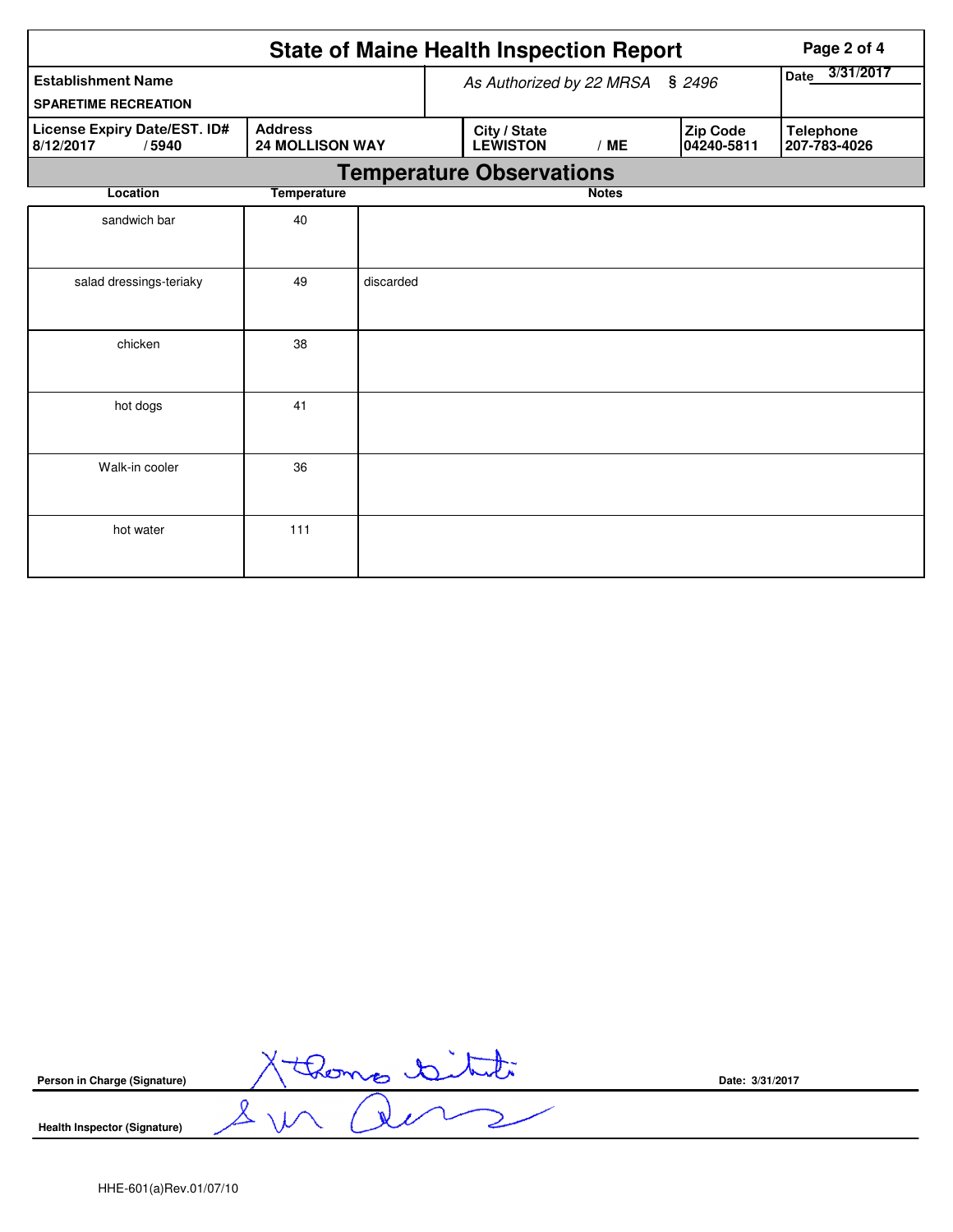| <b>State of Maine Health Inspection Report</b><br>Page 2 of 4                                  |                    |           |                                 |                                 |              |     |                        |                                  |
|------------------------------------------------------------------------------------------------|--------------------|-----------|---------------------------------|---------------------------------|--------------|-----|------------------------|----------------------------------|
| <b>Establishment Name</b><br><b>SPARETIME RECREATION</b>                                       |                    |           | As Authorized by 22 MRSA § 2496 |                                 |              |     |                        | 3/31/2017<br>Date                |
| License Expiry Date/EST. ID#<br><b>Address</b><br><b>24 MOLLISON WAY</b><br>8/12/2017<br>/5940 |                    |           |                                 | City / State<br><b>LEWISTON</b> |              | /ME | Zip Code<br>04240-5811 | <b>Telephone</b><br>207-783-4026 |
|                                                                                                |                    |           |                                 | <b>Temperature Observations</b> |              |     |                        |                                  |
| Location                                                                                       | <b>Temperature</b> |           |                                 |                                 | <b>Notes</b> |     |                        |                                  |
| sandwich bar                                                                                   | 40                 |           |                                 |                                 |              |     |                        |                                  |
| salad dressings-teriaky                                                                        | 49                 | discarded |                                 |                                 |              |     |                        |                                  |
| chicken                                                                                        | 38                 |           |                                 |                                 |              |     |                        |                                  |
| hot dogs                                                                                       | 41                 |           |                                 |                                 |              |     |                        |                                  |
| Walk-in cooler                                                                                 | 36                 |           |                                 |                                 |              |     |                        |                                  |
| hot water                                                                                      | 111                |           |                                 |                                 |              |     |                        |                                  |

| Person in Charge (Signature) |                   | Date: 3/31/2017 |
|------------------------------|-------------------|-----------------|
| Health Inspector (Signature) | <b>Sec.</b><br>λ. |                 |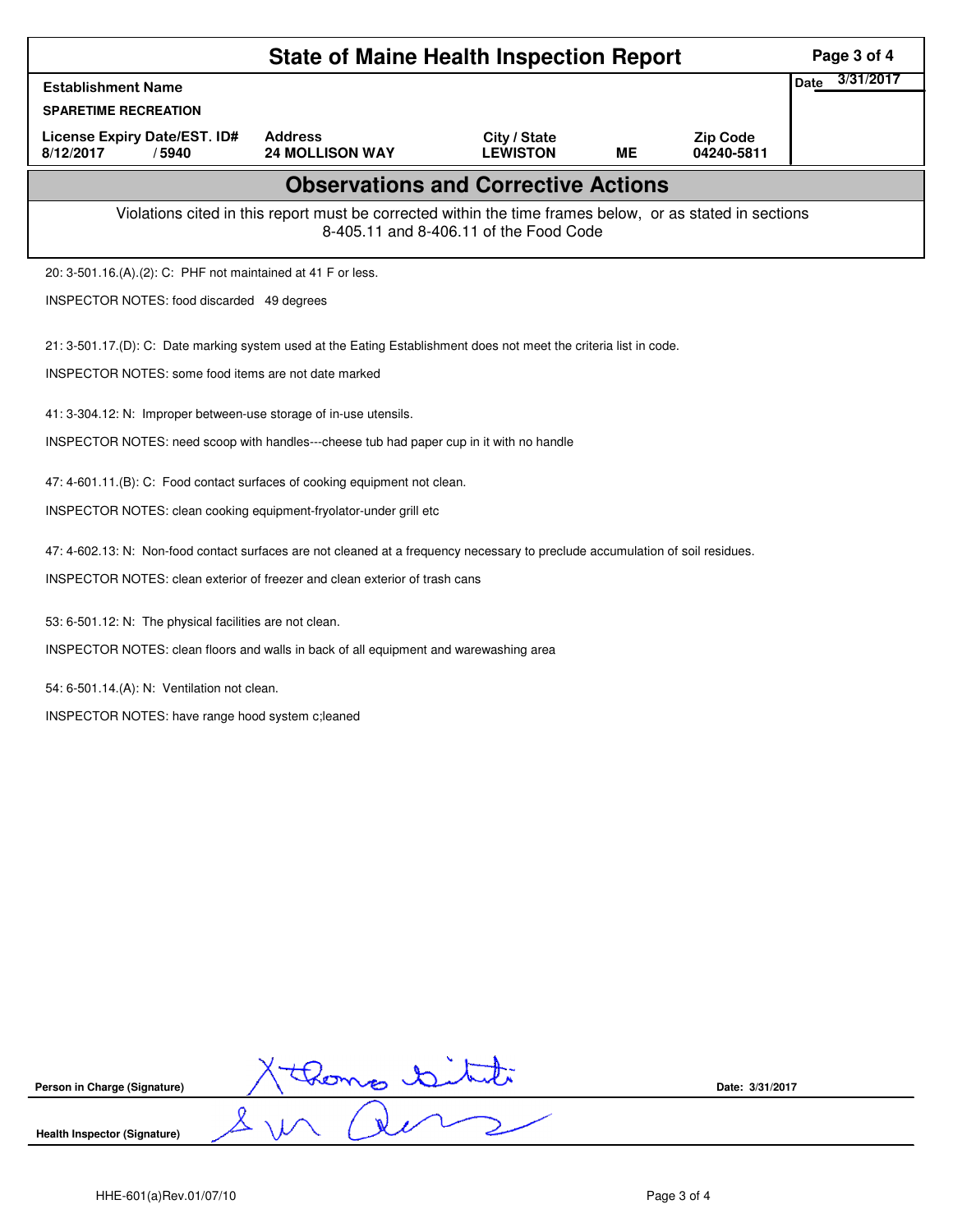|                                                                                                                                | <b>State of Maine Health Inspection Report</b>                                                           |                                        |           |                               | Page 3 of 4       |
|--------------------------------------------------------------------------------------------------------------------------------|----------------------------------------------------------------------------------------------------------|----------------------------------------|-----------|-------------------------------|-------------------|
| <b>Establishment Name</b>                                                                                                      |                                                                                                          |                                        |           |                               | 3/31/2017<br>Date |
| <b>SPARETIME RECREATION</b>                                                                                                    |                                                                                                          |                                        |           |                               |                   |
| <b>License Expiry Date/EST. ID#</b><br>8/12/2017<br>/5940                                                                      | <b>Address</b><br><b>24 MOLLISON WAY</b>                                                                 | City / State<br><b>LEWISTON</b>        | <b>ME</b> | <b>Zip Code</b><br>04240-5811 |                   |
|                                                                                                                                | <b>Observations and Corrective Actions</b>                                                               |                                        |           |                               |                   |
|                                                                                                                                | Violations cited in this report must be corrected within the time frames below, or as stated in sections | 8-405.11 and 8-406.11 of the Food Code |           |                               |                   |
| 20: 3-501.16.(A).(2): C: PHF not maintained at 41 F or less.                                                                   |                                                                                                          |                                        |           |                               |                   |
| INSPECTOR NOTES: food discarded 49 degrees                                                                                     |                                                                                                          |                                        |           |                               |                   |
| 21: 3-501.17.(D): C: Date marking system used at the Eating Establishment does not meet the criteria list in code.             |                                                                                                          |                                        |           |                               |                   |
| INSPECTOR NOTES: some food items are not date marked                                                                           |                                                                                                          |                                        |           |                               |                   |
| 41: 3-304.12: N: Improper between-use storage of in-use utensils.                                                              |                                                                                                          |                                        |           |                               |                   |
| INSPECTOR NOTES: need scoop with handles---cheese tub had paper cup in it with no handle                                       |                                                                                                          |                                        |           |                               |                   |
| 47: 4-601.11.(B): C: Food contact surfaces of cooking equipment not clean.                                                     |                                                                                                          |                                        |           |                               |                   |
| INSPECTOR NOTES: clean cooking equipment-fryolator-under grill etc                                                             |                                                                                                          |                                        |           |                               |                   |
| 47: 4-602.13: N: Non-food contact surfaces are not cleaned at a frequency necessary to preclude accumulation of soil residues. |                                                                                                          |                                        |           |                               |                   |
| INSPECTOR NOTES: clean exterior of freezer and clean exterior of trash cans                                                    |                                                                                                          |                                        |           |                               |                   |
| 53: 6-501.12: N: The physical facilities are not clean.                                                                        |                                                                                                          |                                        |           |                               |                   |
| INSPECTOR NOTES: clean floors and walls in back of all equipment and warewashing area                                          |                                                                                                          |                                        |           |                               |                   |
| 54: 6-501.14.(A): N: Ventilation not clean.                                                                                    |                                                                                                          |                                        |           |                               |                   |
| INSPECTOR NOTES: have range hood system c; leaned                                                                              |                                                                                                          |                                        |           |                               |                   |
|                                                                                                                                |                                                                                                          |                                        |           |                               |                   |
|                                                                                                                                |                                                                                                          |                                        |           |                               |                   |
|                                                                                                                                |                                                                                                          |                                        |           |                               |                   |
|                                                                                                                                |                                                                                                          |                                        |           |                               |                   |
|                                                                                                                                |                                                                                                          |                                        |           |                               |                   |
|                                                                                                                                |                                                                                                          |                                        |           |                               |                   |
|                                                                                                                                |                                                                                                          |                                        |           |                               |                   |

| Person in Charge (Signature) | Date: 3/31/2017 |
|------------------------------|-----------------|
| Health Inspector (Signature) |                 |